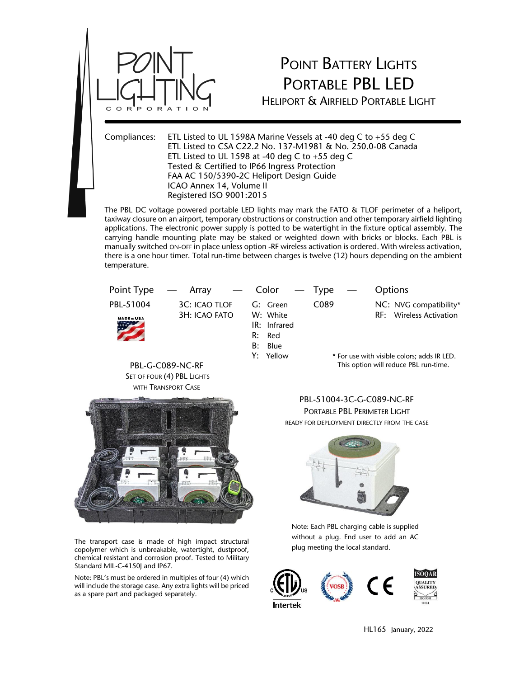

## POINT BATTERY LIGHTS PORTABLE PBL LED

HELIPORT & AIRFIELD PORTABLE LIGHT

Compliances: ETL Listed to UL 1598A Marine Vessels at -40 deg C to +55 deg C ETL Listed to CSA C22.2 No. 137-M1981 & No. 250.0-08 Canada ETL Listed to UL 1598 at -40 deg C to  $+55$  deg C Tested & Certified to IP66 Ingress Protection FAA AC 150/5390-2C Heliport Design Guide ICAO Annex 14, Volume II Registered ISO 9001:2015

The PBL DC voltage powered portable LED lights may mark the FATO & TLOF perimeter of a heliport, taxiway closure on an airport, temporary obstructions or construction and other temporary airfield lighting applications. The electronic power supply is potted to be watertight in the fixture optical assembly. The carrying handle mounting plate may be staked or weighted down with bricks or blocks. Each PBL is manually switched ON-OFF in place unless option -RF wireless activation is ordered. With wireless activation, there is a one hour timer. Total run-time between charges is twelve (12) hours depending on the ambient temperature.

| Point Type                                     | $-$ Array $-$ Color $-$ Type          |                                                                 |                                                                                      | Options                                           |
|------------------------------------------------|---------------------------------------|-----------------------------------------------------------------|--------------------------------------------------------------------------------------|---------------------------------------------------|
| PBL-51004<br><b>MADE IN USA</b>                | <b>3C: ICAO TLOF</b><br>3H: ICAO FATO | G: Green<br>W: White<br>IR: Infrared<br>R:<br>Red<br>B:<br>Blue | C <sub>0</sub> 89                                                                    | NC: NVG compatibility*<br>RF: Wireless Activation |
| PBL-G-C089-NC-RF<br>SET OF FOUR (4) PBL LIGHTS |                                       | Y: Yellow                                                       | * For use with visible colors; adds IR LED.<br>This option will reduce PBL run-time. |                                                   |



The transport case is made of high impact structural copolymer which is unbreakable, watertight, dustproof, chemical resistant and corrosion proof. Tested to Military Standard MIL-C-4150J and IP67.

Note: PBL's must be ordered in multiples of four (4) which will include the storage case. Any extra lights will be priced as a spare part and packaged separately.

PBL-51004-3C-G-C089-NC-RF PORTABLE PBL PERIMETER LIGHT READY FOR DEPLOYMENT DIRECTLY FROM THE CASE



Note: Each PBL charging cable is supplied without a plug. End user to add an AC plug meeting the local standard.



HL165 January, 2022